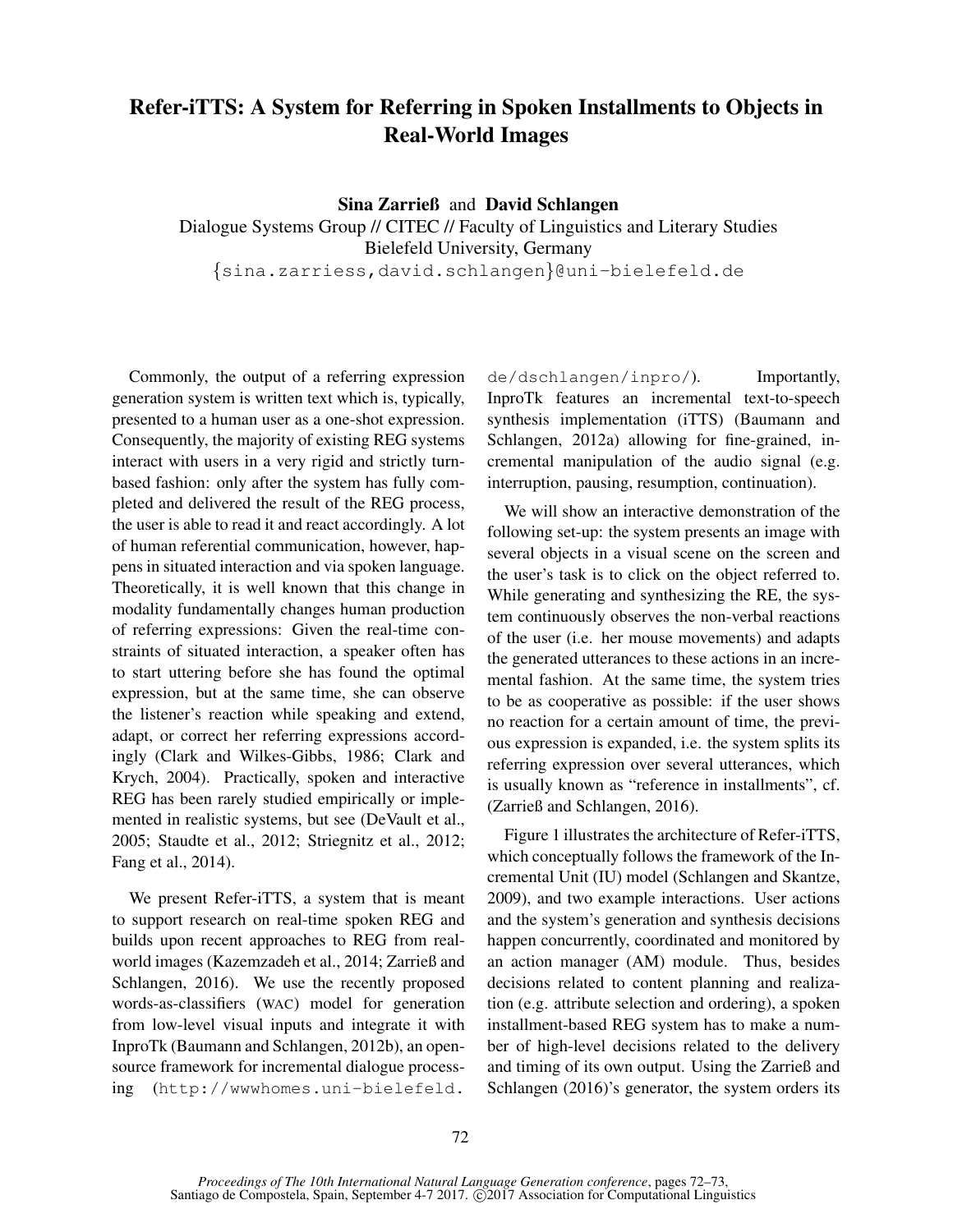## Refer-iTTS: A System for Referring in Spoken Installments to Objects in Real-World Images

Sina Zarrieß and David Schlangen Dialogue Systems Group // CITEC // Faculty of Linguistics and Literary Studies Bielefeld University, Germany {sina.zarriess,david.schlangen}@uni-bielefeld.de

Commonly, the output of a referring expression generation system is written text which is, typically, presented to a human user as a one-shot expression. Consequently, the majority of existing REG systems interact with users in a very rigid and strictly turnbased fashion: only after the system has fully completed and delivered the result of the REG process, the user is able to read it and react accordingly. A lot of human referential communication, however, happens in situated interaction and via spoken language. Theoretically, it is well known that this change in modality fundamentally changes human production of referring expressions: Given the real-time constraints of situated interaction, a speaker often has to start uttering before she has found the optimal expression, but at the same time, she can observe the listener's reaction while speaking and extend, adapt, or correct her referring expressions accordingly (Clark and Wilkes-Gibbs, 1986; Clark and Krych, 2004). Practically, spoken and interactive REG has been rarely studied empirically or implemented in realistic systems, but see (DeVault et al., 2005; Staudte et al., 2012; Striegnitz et al., 2012; Fang et al., 2014).

We present Refer-iTTS, a system that is meant to support research on real-time spoken REG and builds upon recent approaches to REG from realworld images (Kazemzadeh et al., 2014; Zarrieß and Schlangen, 2016). We use the recently proposed words-as-classifiers (WAC) model for generation from low-level visual inputs and integrate it with InproTk (Baumann and Schlangen, 2012b), an opensource framework for incremental dialogue processing (http://wwwhomes.uni-bielefeld.

de/dschlangen/inpro/). Importantly, InproTk features an incremental text-to-speech synthesis implementation (iTTS) (Baumann and Schlangen, 2012a) allowing for fine-grained, incremental manipulation of the audio signal (e.g. interruption, pausing, resumption, continuation).

We will show an interactive demonstration of the following set-up: the system presents an image with several objects in a visual scene on the screen and the user's task is to click on the object referred to. While generating and synthesizing the RE, the system continuously observes the non-verbal reactions of the user (i.e. her mouse movements) and adapts the generated utterances to these actions in an incremental fashion. At the same time, the system tries to be as cooperative as possible: if the user shows no reaction for a certain amount of time, the previous expression is expanded, i.e. the system splits its referring expression over several utterances, which is usually known as "reference in installments", cf. (Zarrieß and Schlangen, 2016).

Figure 1 illustrates the architecture of Refer-iTTS, which conceptually follows the framework of the Incremental Unit (IU) model (Schlangen and Skantze, 2009), and two example interactions. User actions and the system's generation and synthesis decisions happen concurrently, coordinated and monitored by an action manager (AM) module. Thus, besides decisions related to content planning and realization (e.g. attribute selection and ordering), a spoken installment-based REG system has to make a number of high-level decisions related to the delivery and timing of its own output. Using the Zarrieß and Schlangen (2016)'s generator, the system orders its